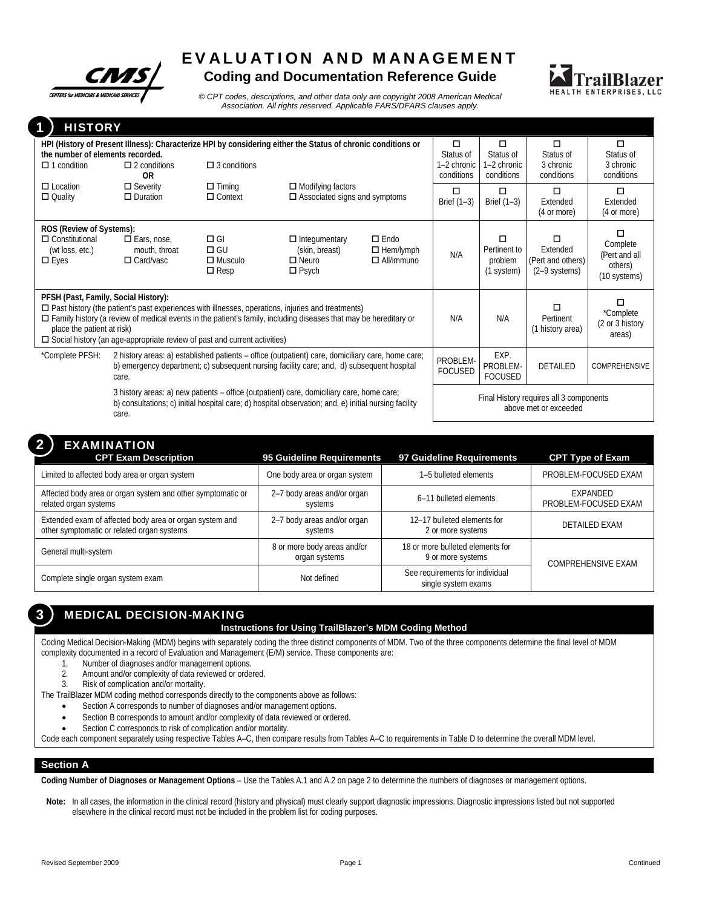

# EVALUATION AND MANAGEMENT

# **Coding and Documentation Reference Guide**

railBlazer H ENTERPRISES, LLC

*© CPT codes, descriptions, and other data only are copyright 2008 American Medical Association. All rights reserved. Applicable FARS/DFARS clauses apply.* 

| <b>HISTORY</b>                                                                                                                                                                                                                                                                                                                                                                           |                                                                                                                                                                                                                   |                                                         |                                                                                                                                                                                                    |                                                      |                                                  |                                                                  |                                                     |                                                                |  |
|------------------------------------------------------------------------------------------------------------------------------------------------------------------------------------------------------------------------------------------------------------------------------------------------------------------------------------------------------------------------------------------|-------------------------------------------------------------------------------------------------------------------------------------------------------------------------------------------------------------------|---------------------------------------------------------|----------------------------------------------------------------------------------------------------------------------------------------------------------------------------------------------------|------------------------------------------------------|--------------------------------------------------|------------------------------------------------------------------|-----------------------------------------------------|----------------------------------------------------------------|--|
| $\Box$ 1 condition                                                                                                                                                                                                                                                                                                                                                                       | HPI (History of Present Illness): Characterize HPI by considering either the Status of chronic conditions or<br>the number of elements recorded.<br>$\square$ 3 conditions<br>$\square$ 2 conditions<br><b>OR</b> |                                                         |                                                                                                                                                                                                    | $\Box$<br>Status of<br>1-2 chronic<br>conditions     | $\Box$<br>Status of<br>1-2 chronic<br>conditions | □<br>Status of<br>3 chronic<br>conditions                        | $\Box$<br>Status of<br>3 chronic<br>conditions      |                                                                |  |
| $\Box$ Location<br>$\Box$ Quality                                                                                                                                                                                                                                                                                                                                                        | $\Box$ Severity<br>$\Box$ Duration                                                                                                                                                                                | $\Box$ Timing<br>$\Box$ Context                         | $\Box$ Modifying factors<br>$\Box$ Associated signs and symptoms                                                                                                                                   |                                                      | $\Box$<br>Brief $(1-3)$                          | $\Box$<br>Brief $(1-3)$                                          | □<br>Extended<br>(4 or more)                        | $\Box$<br>Extended<br>(4 or more)                              |  |
| ROS (Review of Systems):<br>$\Box$ Constitutional<br>(wt loss, etc.)<br>$\square$ Eyes                                                                                                                                                                                                                                                                                                   | $\Box$ Ears, nose,<br>mouth, throat<br>$\Box$ Card/vasc                                                                                                                                                           | $\Box$ GI<br>$\Box$ GU<br>$\Box$ Musculo<br>$\Box$ Resp | $\Box$ Integumentary<br>(skin, breast)<br>$\Box$ Neuro<br>$\Box$ Psych                                                                                                                             | $\Box$ Endo<br>$\Box$ Hem/lymph<br>$\Box$ All/immuno | N/A                                              | □<br>Pertinent to<br>problem<br>(1 system)                       | п<br>Extended<br>(Pert and others)<br>(2-9 systems) | $\Box$<br>Complete<br>(Pert and all<br>others)<br>(10 systems) |  |
| PFSH (Past, Family, Social History):<br>$\Box$ Past history (the patient's past experiences with illnesses, operations, injuries and treatments)<br>$\Box$ Family history (a review of medical events in the patient's family, including diseases that may be hereditary or<br>place the patient at risk)<br>□ Social history (an age-appropriate review of past and current activities) |                                                                                                                                                                                                                   |                                                         |                                                                                                                                                                                                    |                                                      | N/A                                              | N/A                                                              | п<br>Pertinent<br>(1 history area)                  | □<br>*Complete<br>(2 or 3 history<br>areas)                    |  |
| *Complete PFSH:                                                                                                                                                                                                                                                                                                                                                                          | 2 history areas: a) established patients – office (outpatient) care, domiciliary care, home care;<br>b) emergency department; c) subsequent nursing facility care; and, d) subsequent hospital<br>care.           |                                                         |                                                                                                                                                                                                    | PROBLEM-<br><b>FOCUSED</b>                           | EXP.<br>PROBLEM-<br><b>FOCUSED</b>               | DETAILED                                                         | <b>COMPREHENSIVE</b>                                |                                                                |  |
|                                                                                                                                                                                                                                                                                                                                                                                          | care.                                                                                                                                                                                                             |                                                         | 3 history areas: a) new patients – office (outpatient) care, domiciliary care, home care;<br>b) consultations; c) initial hospital care; d) hospital observation; and, e) initial nursing facility |                                                      |                                                  | Final History requires all 3 components<br>above met or exceeded |                                                     |                                                                |  |

## **EXAMINATION**

| <b>EXAMINATION</b><br><b>CPT Exam Description</b>                                                     | 95 Guideline Requirements                                                                  | 97 Guideline Requirements                              | <b>CPT Type of Exam</b>          |  |
|-------------------------------------------------------------------------------------------------------|--------------------------------------------------------------------------------------------|--------------------------------------------------------|----------------------------------|--|
| Limited to affected body area or organ system                                                         | One body area or organ system                                                              | 1-5 bulleted elements                                  | PROBLEM-FOCUSED EXAM             |  |
| Affected body area or organ system and other symptomatic or<br>related organ systems                  | 2-7 body areas and/or organ<br>systems                                                     | 6-11 bulleted elements                                 | EXPANDED<br>PROBLEM-FOCUSED EXAM |  |
| Extended exam of affected body area or organ system and<br>other symptomatic or related organ systems | 2-7 body areas and/or organ<br>12-17 bulleted elements for<br>2 or more systems<br>systems |                                                        | DETAILED EXAM                    |  |
| General multi-system                                                                                  | 8 or more body areas and/or<br>organ systems                                               | 18 or more bulleted elements for<br>9 or more systems  | <b>COMPREHENSIVE EXAM</b>        |  |
| Complete single organ system exam                                                                     | Not defined                                                                                | See requirements for individual<br>single system exams |                                  |  |

## MEDICAL DECISION-MAKING

#### **Instructions for Using TrailBlazer's MDM Coding Method**

Coding Medical Decision-Making (MDM) begins with separately coding the three distinct components of MDM. Two of the three components determine the final level of MDM complexity documented in a record of Evaluation and Management (E/M) service. These components are:

- 1. Number of diagnoses and/or management options.
- 2. Amount and/or complexity of data reviewed or ordered.
- 3. Risk of complication and/or mortality.
- The TrailBlazer MDM coding method corresponds directly to the components above as follows:
	- Section A corresponds to number of diagnoses and/or management options.
	- Section B corresponds to amount and/or complexity of data reviewed or ordered.
	- Section C corresponds to risk of complication and/or mortality.

Code each component separately using respective Tables A–C, then compare results from Tables A–C to requirements in Table D to determine the overall MDM level.

## **Section A**

**3** 

**Coding Number of Diagnoses or Management Options** – Use the Tables A.1 and A.2 on page 2 to determine the numbers of diagnoses or management options.

**Note:** In all cases, the information in the clinical record (history and physical) must clearly support diagnostic impressions. Diagnostic impressions listed but not supported elsewhere in the clinical record must not be included in the problem list for coding purposes.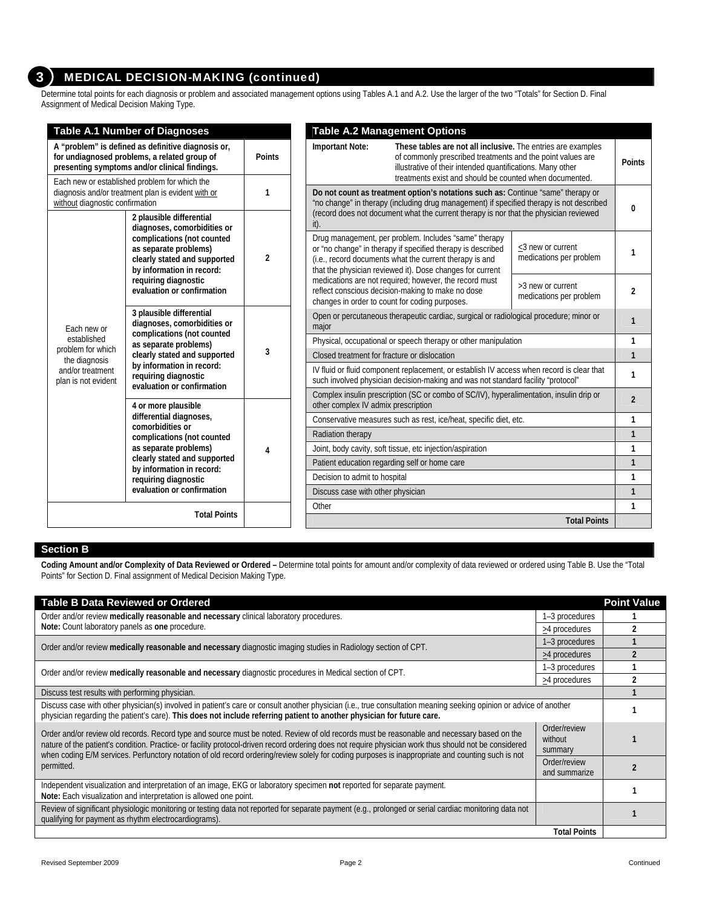## MEDICAL DECISION-MAKING (continued)

Determine total points for each diagnosis or problem and associated management options using Tables A.1 and A.2. Use the larger of the two "Totals" for Section D. Final Assignment of Medical Decision Making Type.

|                                                                                                                                                     | <b>Table A.1 Number of Diagnoses</b>                                                                           |                                                                                                                                                                                                               | <b>Table A.2 Management Options</b>                                                                                                                                                                                                                                                          |                |  |  |  |  |
|-----------------------------------------------------------------------------------------------------------------------------------------------------|----------------------------------------------------------------------------------------------------------------|---------------------------------------------------------------------------------------------------------------------------------------------------------------------------------------------------------------|----------------------------------------------------------------------------------------------------------------------------------------------------------------------------------------------------------------------------------------------------------------------------------------------|----------------|--|--|--|--|
| A "problem" is defined as definitive diagnosis or,<br>for undiagnosed problems, a related group of<br>presenting symptoms and/or clinical findings. |                                                                                                                | Points                                                                                                                                                                                                        | These tables are not all inclusive. The entries are examples<br><b>Important Note:</b><br>of commonly prescribed treatments and the point values are<br>illustrative of their intended quantifications. Many other<br>treatments exist and should be counted when documented.                | <b>Points</b>  |  |  |  |  |
| Each new or established problem for which the<br>diagnosis and/or treatment plan is evident with or<br>without diagnostic confirmation              |                                                                                                                | 1                                                                                                                                                                                                             | Do not count as treatment option's notations such as: Continue "same" therapy or<br>"no change" in therapy (including drug management) if specified therapy is not described<br>(record does not document what the current therapy is nor that the physician reviewed                        |                |  |  |  |  |
|                                                                                                                                                     | 2 plausible differential<br>diagnoses, comorbidities or                                                        |                                                                                                                                                                                                               | it).                                                                                                                                                                                                                                                                                         |                |  |  |  |  |
| complications (not counted<br>as separate problems)<br>clearly stated and supported<br>by information in record:                                    |                                                                                                                | $\overline{2}$                                                                                                                                                                                                | Drug management, per problem. Includes "same" therapy<br><3 new or current<br>or "no change" in therapy if specified therapy is described<br>medications per problem<br>(i.e., record documents what the current therapy is and<br>that the physician reviewed it). Dose changes for current | 1              |  |  |  |  |
| requiring diagnostic<br>evaluation or confirmation                                                                                                  |                                                                                                                | medications are not required; however, the record must<br>>3 new or current<br>reflect conscious decision-making to make no dose<br>medications per problem<br>changes in order to count for coding purposes. | $\overline{2}$                                                                                                                                                                                                                                                                               |                |  |  |  |  |
| Each new or                                                                                                                                         | 3 plausible differential<br>diagnoses, comorbidities or<br>complications (not counted<br>as separate problems) |                                                                                                                                                                                                               | Open or percutaneous therapeutic cardiac, surgical or radiological procedure; minor or<br>major                                                                                                                                                                                              | $\mathbf{1}$   |  |  |  |  |
| established                                                                                                                                         |                                                                                                                |                                                                                                                                                                                                               | Physical, occupational or speech therapy or other manipulation                                                                                                                                                                                                                               |                |  |  |  |  |
| problem for which<br>the diagnosis                                                                                                                  | clearly stated and supported                                                                                   | 3                                                                                                                                                                                                             | Closed treatment for fracture or dislocation                                                                                                                                                                                                                                                 |                |  |  |  |  |
| and/or treatment<br>plan is not evident                                                                                                             | by information in record:<br>requiring diagnostic<br>evaluation or confirmation                                |                                                                                                                                                                                                               | IV fluid or fluid component replacement, or establish IV access when record is clear that<br>such involved physician decision-making and was not standard facility "protocol"                                                                                                                |                |  |  |  |  |
|                                                                                                                                                     | 4 or more plausible                                                                                            |                                                                                                                                                                                                               | Complex insulin prescription (SC or combo of SC/IV), hyperalimentation, insulin drip or<br>other complex IV admix prescription                                                                                                                                                               | $\mathfrak{p}$ |  |  |  |  |
|                                                                                                                                                     | differential diagnoses,<br>comorbidities or                                                                    |                                                                                                                                                                                                               | Conservative measures such as rest, ice/heat, specific diet, etc.                                                                                                                                                                                                                            | $\mathbf{1}$   |  |  |  |  |
|                                                                                                                                                     | complications (not counted                                                                                     |                                                                                                                                                                                                               | Radiation therapy                                                                                                                                                                                                                                                                            | $\mathbf{1}$   |  |  |  |  |
|                                                                                                                                                     | as separate problems)                                                                                          | 4                                                                                                                                                                                                             | Joint, body cavity, soft tissue, etc injection/aspiration                                                                                                                                                                                                                                    | $\mathbf{1}$   |  |  |  |  |
|                                                                                                                                                     | clearly stated and supported<br>by information in record:                                                      |                                                                                                                                                                                                               | Patient education regarding self or home care                                                                                                                                                                                                                                                | $\mathbf{1}$   |  |  |  |  |
|                                                                                                                                                     | requiring diagnostic                                                                                           |                                                                                                                                                                                                               | Decision to admit to hospital                                                                                                                                                                                                                                                                | $\mathbf{1}$   |  |  |  |  |
|                                                                                                                                                     | evaluation or confirmation                                                                                     |                                                                                                                                                                                                               | Discuss case with other physician                                                                                                                                                                                                                                                            | $\mathbf{1}$   |  |  |  |  |
|                                                                                                                                                     | <b>Total Points</b>                                                                                            |                                                                                                                                                                                                               | Other                                                                                                                                                                                                                                                                                        | $\mathbf{1}$   |  |  |  |  |
|                                                                                                                                                     |                                                                                                                |                                                                                                                                                                                                               | <b>Total Points</b>                                                                                                                                                                                                                                                                          |                |  |  |  |  |

## **Section B**

**3** 

**Coding Amount and/or Complexity of Data Reviewed or Ordered –** Determine total points for amount and/or complexity of data reviewed or ordered using Table B. Use the "Total Points" for Section D. Final assignment of Medical Decision Making Type.

| <b>Table B Data Reviewed or Ordered</b>                                                                                                                                                                                                                                                                                                                                                                                                                   |                                    | <b>Point Value</b> |  |  |
|-----------------------------------------------------------------------------------------------------------------------------------------------------------------------------------------------------------------------------------------------------------------------------------------------------------------------------------------------------------------------------------------------------------------------------------------------------------|------------------------------------|--------------------|--|--|
| Order and/or review medically reasonable and necessary clinical laboratory procedures.                                                                                                                                                                                                                                                                                                                                                                    | 1-3 procedures                     |                    |  |  |
| Note: Count laboratory panels as one procedure.                                                                                                                                                                                                                                                                                                                                                                                                           | >4 procedures                      |                    |  |  |
| Order and/or review medically reasonable and necessary diagnostic imaging studies in Radiology section of CPT.                                                                                                                                                                                                                                                                                                                                            | 1-3 procedures                     |                    |  |  |
|                                                                                                                                                                                                                                                                                                                                                                                                                                                           | >4 procedures                      |                    |  |  |
| Order and/or review medically reasonable and necessary diagnostic procedures in Medical section of CPT.                                                                                                                                                                                                                                                                                                                                                   | 1-3 procedures                     |                    |  |  |
|                                                                                                                                                                                                                                                                                                                                                                                                                                                           | >4 procedures                      |                    |  |  |
| Discuss test results with performing physician.                                                                                                                                                                                                                                                                                                                                                                                                           |                                    |                    |  |  |
| Discuss case with other physician(s) involved in patient's care or consult another physician (i.e., true consultation meaning seeking opinion or advice of another<br>physician regarding the patient's care). This does not include referring patient to another physician for future care.                                                                                                                                                              |                                    |                    |  |  |
| Order and/or review old records. Record type and source must be noted. Review of old records must be reasonable and necessary based on the<br>nature of the patient's condition. Practice- or facility protocol-driven record ordering does not require physician work thus should not be considered<br>when coding E/M services. Perfunctory notation of old record ordering/review solely for coding purposes is inappropriate and counting such is not | Order/review<br>without<br>summary |                    |  |  |
| permitted.                                                                                                                                                                                                                                                                                                                                                                                                                                                | Order/review<br>and summarize      |                    |  |  |
| Independent visualization and interpretation of an image, EKG or laboratory specimen not reported for separate payment.<br>Note: Each visualization and interpretation is allowed one point.                                                                                                                                                                                                                                                              |                                    |                    |  |  |
| Review of significant physiologic monitoring or testing data not reported for separate payment (e.g., prolonged or serial cardiac monitoring data not<br>qualifying for payment as rhythm electrocardiograms).                                                                                                                                                                                                                                            |                                    |                    |  |  |
|                                                                                                                                                                                                                                                                                                                                                                                                                                                           | <b>Total Points</b>                |                    |  |  |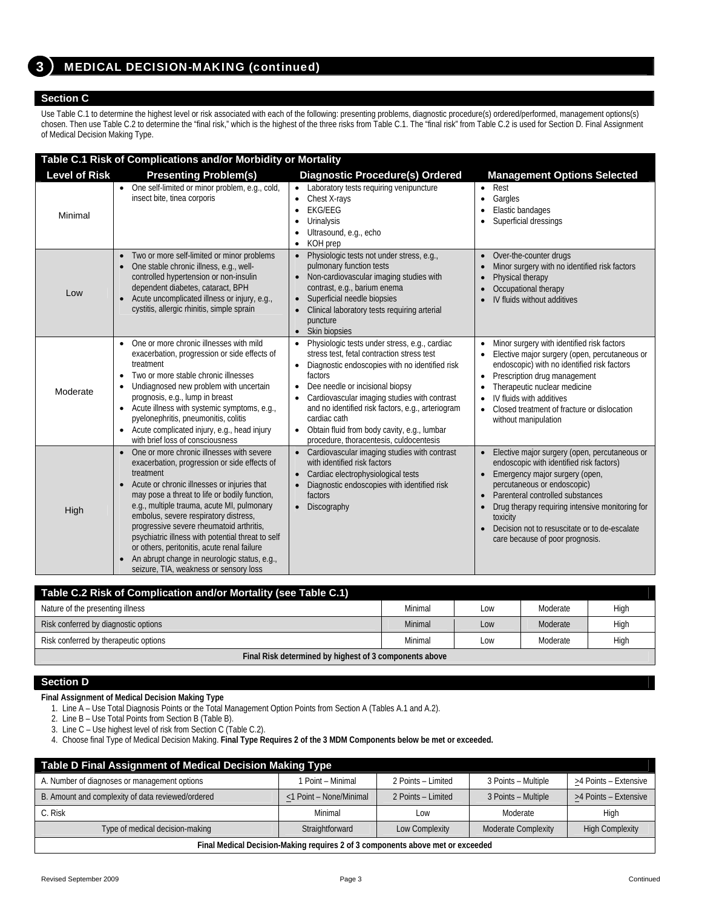

## MEDICAL DECISION-MAKING (continued)

#### **Section C**

Use Table C.1 to determine the highest level or risk associated with each of the following: presenting problems, diagnostic procedure(s) ordered/performed, management options(s) chosen. Then use Table C.2 to determine the "final risk," which is the highest of the three risks from Table C.1. The "final risk" from Table C.2 is used for Section D. Final Assignment of Medical Decision Making Type.

| Table C.1 Risk of Complications and/or Morbidity or Mortality |                                                                                                                                                                                                                                                                                                                                                                                                                                                                                                                                                                   |                                                                                                                                                                                                                                                                                                                                                                                                                                                   |                                                                                                                                                                                                                                                                                                                                                                                |  |  |  |  |  |  |
|---------------------------------------------------------------|-------------------------------------------------------------------------------------------------------------------------------------------------------------------------------------------------------------------------------------------------------------------------------------------------------------------------------------------------------------------------------------------------------------------------------------------------------------------------------------------------------------------------------------------------------------------|---------------------------------------------------------------------------------------------------------------------------------------------------------------------------------------------------------------------------------------------------------------------------------------------------------------------------------------------------------------------------------------------------------------------------------------------------|--------------------------------------------------------------------------------------------------------------------------------------------------------------------------------------------------------------------------------------------------------------------------------------------------------------------------------------------------------------------------------|--|--|--|--|--|--|
| <b>Level of Risk</b>                                          | <b>Presenting Problem(s)</b>                                                                                                                                                                                                                                                                                                                                                                                                                                                                                                                                      | <b>Diagnostic Procedure(s) Ordered</b>                                                                                                                                                                                                                                                                                                                                                                                                            | <b>Management Options Selected</b>                                                                                                                                                                                                                                                                                                                                             |  |  |  |  |  |  |
| Minimal                                                       | • One self-limited or minor problem, e.g., cold,<br>insect bite, tinea corporis                                                                                                                                                                                                                                                                                                                                                                                                                                                                                   | Laboratory tests requiring venipuncture<br>Chest X-rays<br>٠<br><b>EKG/EEG</b><br>$\bullet$<br>Urinalysis<br>٠<br>Ultrasound, e.g., echo<br>KOH prep<br>$\bullet$                                                                                                                                                                                                                                                                                 | $\bullet$ Rest<br>Gargles<br>$\bullet$<br>Elastic bandages<br>Superficial dressings                                                                                                                                                                                                                                                                                            |  |  |  |  |  |  |
| Low                                                           | Two or more self-limited or minor problems<br>$\bullet$<br>One stable chronic illness, e.g., well-<br>controlled hypertension or non-insulin<br>dependent diabetes, cataract, BPH<br>Acute uncomplicated illness or injury, e.g.,<br>cystitis, allergic rhinitis, simple sprain                                                                                                                                                                                                                                                                                   | Physiologic tests not under stress, e.g.,<br>pulmonary function tests<br>Non-cardiovascular imaging studies with<br>contrast, e.g., barium enema<br>Superficial needle biopsies<br>Clinical laboratory tests requiring arterial<br>puncture<br>• Skin biopsies                                                                                                                                                                                    | Over-the-counter drugs<br>$\bullet$<br>Minor surgery with no identified risk factors<br>Physical therapy<br>Occupational therapy<br>IV fluids without additives                                                                                                                                                                                                                |  |  |  |  |  |  |
| Moderate                                                      | One or more chronic illnesses with mild<br>$\bullet$<br>exacerbation, progression or side effects of<br>treatment<br>Two or more stable chronic illnesses<br>$\bullet$<br>Undiagnosed new problem with uncertain<br>$\bullet$<br>prognosis, e.g., lump in breast<br>• Acute illness with systemic symptoms, e.g.,<br>pyelonephritis, pneumonitis, colitis<br>Acute complicated injury, e.g., head injury<br>$\bullet$<br>with brief loss of consciousness                                                                                                         | Physiologic tests under stress, e.g., cardiac<br>$\bullet$<br>stress test, fetal contraction stress test<br>Diagnostic endoscopies with no identified risk<br>$\bullet$<br>factors<br>Dee needle or incisional biopsy<br>$\bullet$<br>Cardiovascular imaging studies with contrast<br>and no identified risk factors, e.g., arteriogram<br>cardiac cath<br>Obtain fluid from body cavity, e.g., lumbar<br>procedure, thoracentesis, culdocentesis | Minor surgery with identified risk factors<br>$\bullet$<br>Elective major surgery (open, percutaneous or<br>$\bullet$<br>endoscopic) with no identified risk factors<br>Prescription drug management<br>$\bullet$<br>Therapeutic nuclear medicine<br>IV fluids with additives<br>$\bullet$<br>Closed treatment of fracture or dislocation<br>$\bullet$<br>without manipulation |  |  |  |  |  |  |
| High                                                          | One or more chronic illnesses with severe<br>exacerbation, progression or side effects of<br>treatment<br>Acute or chronic illnesses or injuries that<br>$\bullet$<br>may pose a threat to life or bodily function,<br>e.g., multiple trauma, acute MI, pulmonary<br>embolus, severe respiratory distress,<br>progressive severe rheumatoid arthritis,<br>psychiatric illness with potential threat to self<br>or others, peritonitis, acute renal failure<br>An abrupt change in neurologic status, e.g.,<br>$\bullet$<br>seizure, TIA, weakness or sensory loss | Cardiovascular imaging studies with contrast<br>$\bullet$<br>with identified risk factors<br>Cardiac electrophysiological tests<br>Diagnostic endoscopies with identified risk<br>factors<br>• Discography                                                                                                                                                                                                                                        | • Elective major surgery (open, percutaneous or<br>endoscopic with identified risk factors)<br>Emergency major surgery (open,<br>percutaneous or endoscopic)<br>Parenteral controlled substances<br>Drug therapy requiring intensive monitoring for<br>toxicity<br>Decision not to resuscitate or to de-escalate<br>care because of poor prognosis.                            |  |  |  |  |  |  |

| Table C.2 Risk of Complication and/or Mortality (see Table C.1) |         |     |          |      |  |  |  |  |  |
|-----------------------------------------------------------------|---------|-----|----------|------|--|--|--|--|--|
| Nature of the presenting illness                                | Minimal | Low | Moderate | High |  |  |  |  |  |
| Risk conferred by diagnostic options                            | Minimal | Low | Moderate | High |  |  |  |  |  |
| Risk conferred by therapeutic options                           | Minimal | Low | Moderate | High |  |  |  |  |  |
| Final Diale determined by higheot of 2 components above         |         |     |          |      |  |  |  |  |  |

**Final Risk determined by highest of 3 components above** 

#### **Section D**

**Final Assignment of Medical Decision Making Type** 

1. Line A – Use Total Diagnosis Points or the Total Management Option Points from Section A (Tables A.1 and A.2).

2. Line B – Use Total Points from Section B (Table B).

3. Line C – Use highest level of risk from Section C (Table C.2).

4. Choose final Type of Medical Decision Making. **Final Type Requires 2 of the 3 MDM Components below be met or exceeded.** 

| Table D Final Assignment of Medical Decision Making Type                       |                         |                    |                                              |                        |  |  |  |  |  |  |
|--------------------------------------------------------------------------------|-------------------------|--------------------|----------------------------------------------|------------------------|--|--|--|--|--|--|
| A. Number of diagnoses or management options                                   | l Point – Minimal       | 2 Points – Limited | 3 Points - Multiple                          | >4 Points - Extensive  |  |  |  |  |  |  |
| B. Amount and complexity of data reviewed/ordered                              | <1 Point - None/Minimal | 2 Points - Limited | >4 Points - Extensive<br>3 Points - Multiple |                        |  |  |  |  |  |  |
| C. Risk                                                                        | Minimal                 | Low                | Moderate                                     | High                   |  |  |  |  |  |  |
| Type of medical decision-making                                                | Straightforward         | Low Complexity     | <b>Moderate Complexity</b>                   | <b>High Complexity</b> |  |  |  |  |  |  |
| Final Medical Decision-Making requires 2 of 3 components above met or exceeded |                         |                    |                                              |                        |  |  |  |  |  |  |